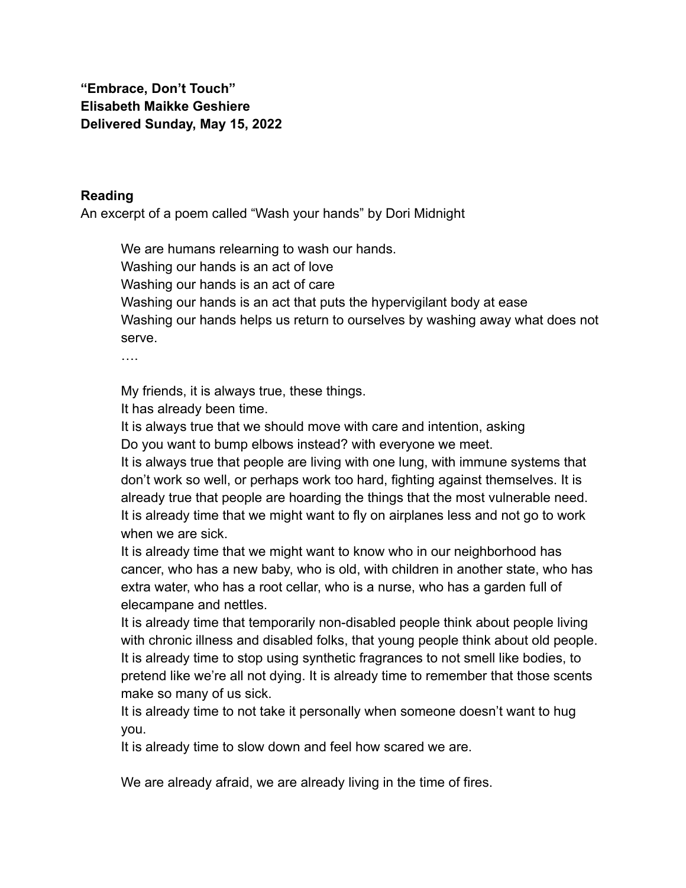**"Embrace, Don't Touch" Elisabeth Maikke Geshiere Delivered Sunday, May 15, 2022**

## **Reading**

An excerpt of a poem called "Wash your hands" by Dori Midnight

We are humans relearning to wash our hands. Washing our hands is an act of love Washing our hands is an act of care Washing our hands is an act that puts the hypervigilant body at ease Washing our hands helps us return to ourselves by washing away what does not serve.

….

My friends, it is always true, these things.

It has already been time.

It is always true that we should move with care and intention, asking Do you want to bump elbows instead? with everyone we meet.

It is always true that people are living with one lung, with immune systems that don't work so well, or perhaps work too hard, fighting against themselves. It is already true that people are hoarding the things that the most vulnerable need. It is already time that we might want to fly on airplanes less and not go to work when we are sick.

It is already time that we might want to know who in our neighborhood has cancer, who has a new baby, who is old, with children in another state, who has extra water, who has a root cellar, who is a nurse, who has a garden full of elecampane and nettles.

It is already time that temporarily non-disabled people think about people living with chronic illness and disabled folks, that young people think about old people. It is already time to stop using synthetic fragrances to not smell like bodies, to pretend like we're all not dying. It is already time to remember that those scents make so many of us sick.

It is already time to not take it personally when someone doesn't want to hug you.

It is already time to slow down and feel how scared we are.

We are already afraid, we are already living in the time of fires.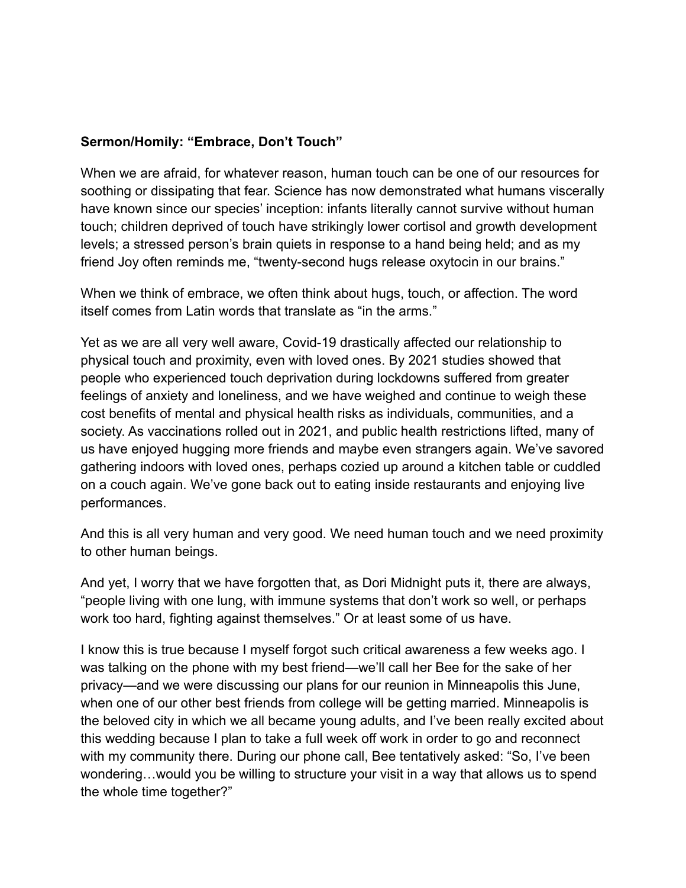## **Sermon/Homily: "Embrace, Don't Touch"**

When we are afraid, for whatever reason, human touch can be one of our resources for soothing or dissipating that fear. Science has now demonstrated what humans viscerally have known since our species' inception: infants literally cannot survive without human touch; children deprived of touch have strikingly lower cortisol and growth development levels; a stressed person's brain quiets in response to a hand being held; and as my friend Joy often reminds me, "twenty-second hugs release oxytocin in our brains."

When we think of embrace, we often think about hugs, touch, or affection. The word itself comes from Latin words that translate as "in the arms."

Yet as we are all very well aware, Covid-19 drastically affected our relationship to physical touch and proximity, even with loved ones. By 2021 studies showed that people who experienced touch deprivation during lockdowns suffered from greater feelings of anxiety and loneliness, and we have weighed and continue to weigh these cost benefits of mental and physical health risks as individuals, communities, and a society. As vaccinations rolled out in 2021, and public health restrictions lifted, many of us have enjoyed hugging more friends and maybe even strangers again. We've savored gathering indoors with loved ones, perhaps cozied up around a kitchen table or cuddled on a couch again. We've gone back out to eating inside restaurants and enjoying live performances.

And this is all very human and very good. We need human touch and we need proximity to other human beings.

And yet, I worry that we have forgotten that, as Dori Midnight puts it, there are always, "people living with one lung, with immune systems that don't work so well, or perhaps work too hard, fighting against themselves." Or at least some of us have.

I know this is true because I myself forgot such critical awareness a few weeks ago. I was talking on the phone with my best friend—we'll call her Bee for the sake of her privacy—and we were discussing our plans for our reunion in Minneapolis this June, when one of our other best friends from college will be getting married. Minneapolis is the beloved city in which we all became young adults, and I've been really excited about this wedding because I plan to take a full week off work in order to go and reconnect with my community there. During our phone call, Bee tentatively asked: "So, I've been wondering…would you be willing to structure your visit in a way that allows us to spend the whole time together?"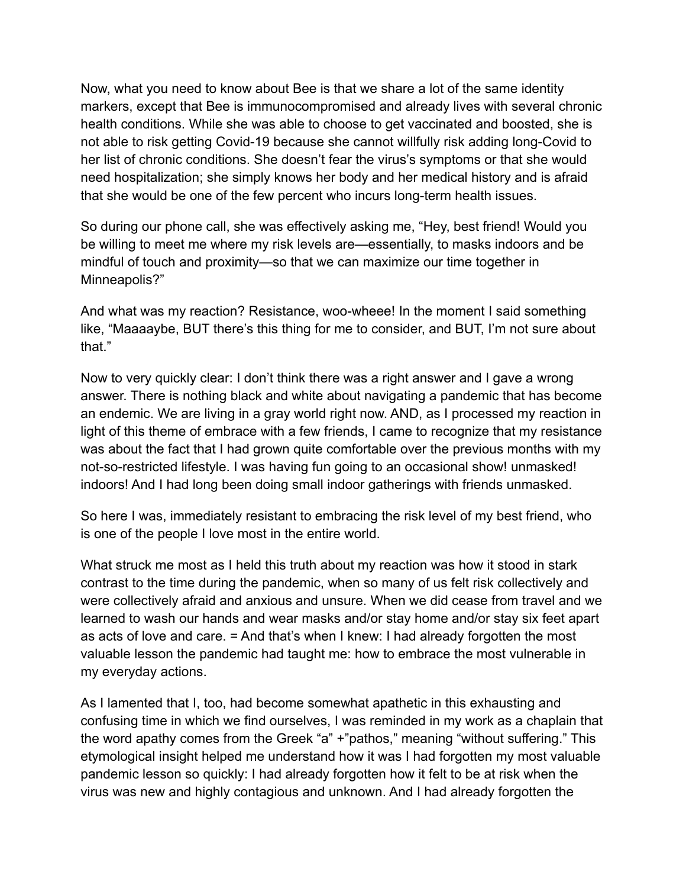Now, what you need to know about Bee is that we share a lot of the same identity markers, except that Bee is immunocompromised and already lives with several chronic health conditions. While she was able to choose to get vaccinated and boosted, she is not able to risk getting Covid-19 because she cannot willfully risk adding long-Covid to her list of chronic conditions. She doesn't fear the virus's symptoms or that she would need hospitalization; she simply knows her body and her medical history and is afraid that she would be one of the few percent who incurs long-term health issues.

So during our phone call, she was effectively asking me, "Hey, best friend! Would you be willing to meet me where my risk levels are—essentially, to masks indoors and be mindful of touch and proximity—so that we can maximize our time together in Minneapolis?"

And what was my reaction? Resistance, woo-wheee! In the moment I said something like, "Maaaaybe, BUT there's this thing for me to consider, and BUT, I'm not sure about that."

Now to very quickly clear: I don't think there was a right answer and I gave a wrong answer. There is nothing black and white about navigating a pandemic that has become an endemic. We are living in a gray world right now. AND, as I processed my reaction in light of this theme of embrace with a few friends, I came to recognize that my resistance was about the fact that I had grown quite comfortable over the previous months with my not-so-restricted lifestyle. I was having fun going to an occasional show! unmasked! indoors! And I had long been doing small indoor gatherings with friends unmasked.

So here I was, immediately resistant to embracing the risk level of my best friend, who is one of the people I love most in the entire world.

What struck me most as I held this truth about my reaction was how it stood in stark contrast to the time during the pandemic, when so many of us felt risk collectively and were collectively afraid and anxious and unsure. When we did cease from travel and we learned to wash our hands and wear masks and/or stay home and/or stay six feet apart as acts of love and care. = And that's when I knew: I had already forgotten the most valuable lesson the pandemic had taught me: how to embrace the most vulnerable in my everyday actions.

As I lamented that I, too, had become somewhat apathetic in this exhausting and confusing time in which we find ourselves, I was reminded in my work as a chaplain that the word apathy comes from the Greek "a" +"pathos," meaning "without suffering." This etymological insight helped me understand how it was I had forgotten my most valuable pandemic lesson so quickly: I had already forgotten how it felt to be at risk when the virus was new and highly contagious and unknown. And I had already forgotten the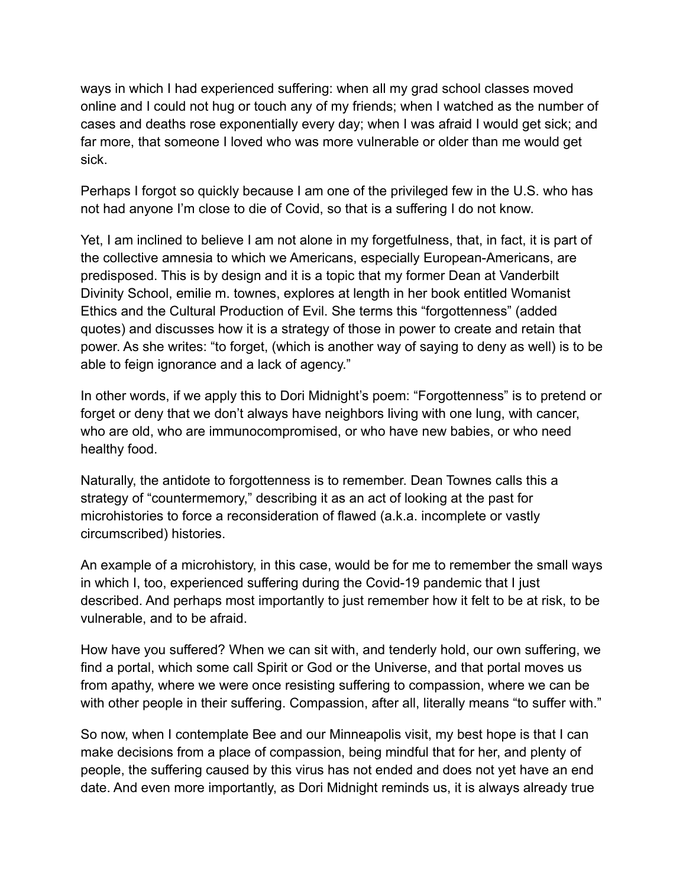ways in which I had experienced suffering: when all my grad school classes moved online and I could not hug or touch any of my friends; when I watched as the number of cases and deaths rose exponentially every day; when I was afraid I would get sick; and far more, that someone I loved who was more vulnerable or older than me would get sick.

Perhaps I forgot so quickly because I am one of the privileged few in the U.S. who has not had anyone I'm close to die of Covid, so that is a suffering I do not know.

Yet, I am inclined to believe I am not alone in my forgetfulness, that, in fact, it is part of the collective amnesia to which we Americans, especially European-Americans, are predisposed. This is by design and it is a topic that my former Dean at Vanderbilt Divinity School, emilie m. townes, explores at length in her book entitled Womanist Ethics and the Cultural Production of Evil. She terms this "forgottenness" (added quotes) and discusses how it is a strategy of those in power to create and retain that power. As she writes: "to forget, (which is another way of saying to deny as well) is to be able to feign ignorance and a lack of agency."

In other words, if we apply this to Dori Midnight's poem: "Forgottenness" is to pretend or forget or deny that we don't always have neighbors living with one lung, with cancer, who are old, who are immunocompromised, or who have new babies, or who need healthy food.

Naturally, the antidote to forgottenness is to remember. Dean Townes calls this a strategy of "countermemory," describing it as an act of looking at the past for microhistories to force a reconsideration of flawed (a.k.a. incomplete or vastly circumscribed) histories.

An example of a microhistory, in this case, would be for me to remember the small ways in which I, too, experienced suffering during the Covid-19 pandemic that I just described. And perhaps most importantly to just remember how it felt to be at risk, to be vulnerable, and to be afraid.

How have you suffered? When we can sit with, and tenderly hold, our own suffering, we find a portal, which some call Spirit or God or the Universe, and that portal moves us from apathy, where we were once resisting suffering to compassion, where we can be with other people in their suffering. Compassion, after all, literally means "to suffer with."

So now, when I contemplate Bee and our Minneapolis visit, my best hope is that I can make decisions from a place of compassion, being mindful that for her, and plenty of people, the suffering caused by this virus has not ended and does not yet have an end date. And even more importantly, as Dori Midnight reminds us, it is always already true